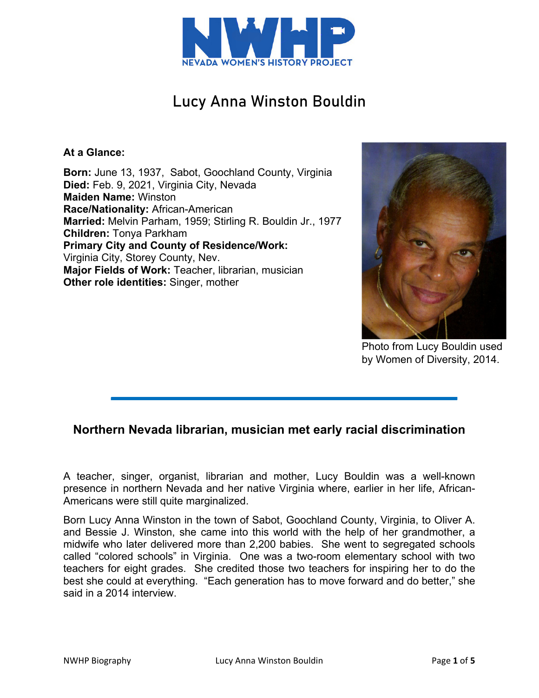

# Lucy Anna Winston Bouldin

## **At a Glance:**

**Born:** June 13, 1937, Sabot, Goochland County, Virginia **Died:** Feb. 9, 2021, Virginia City, Nevada **Maiden Name:** Winston **Race/Nationality:** African-American **Married:** Melvin Parham, 1959; Stirling R. Bouldin Jr., 1977 **Children:** Tonya Parkham **Primary City and County of Residence/Work:** Virginia City, Storey County, Nev. **Major Fields of Work:** Teacher, librarian, musician **Other role identities:** Singer, mother



Photo from Lucy Bouldin used by Women of Diversity, 2014.

# **Northern Nevada librarian, musician met early racial discrimination**

A teacher, singer, organist, librarian and mother, Lucy Bouldin was a well-known presence in northern Nevada and her native Virginia where, earlier in her life, African-Americans were still quite marginalized.

Born Lucy Anna Winston in the town of Sabot, Goochland County, Virginia, to Oliver A. and Bessie J. Winston, she came into this world with the help of her grandmother, a midwife who later delivered more than 2,200 babies. She went to segregated schools called "colored schools" in Virginia. One was a two-room elementary school with two teachers for eight grades. She credited those two teachers for inspiring her to do the best she could at everything. "Each generation has to move forward and do better," she said in a 2014 interview.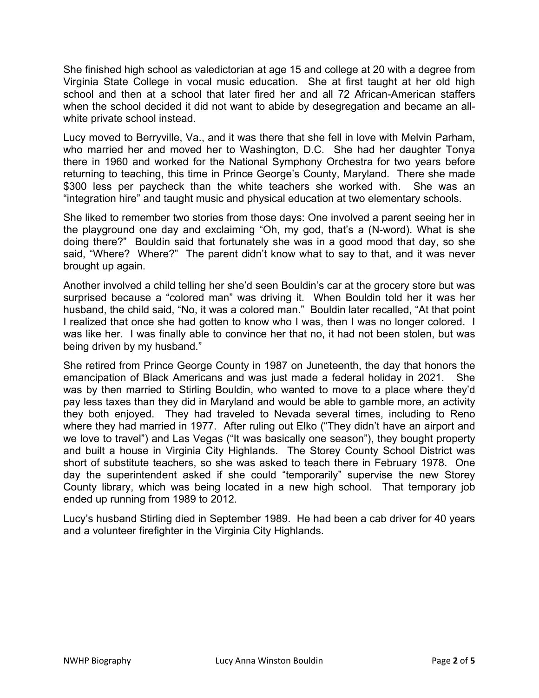She finished high school as valedictorian at age 15 and college at 20 with a degree from Virginia State College in vocal music education. She at first taught at her old high school and then at a school that later fired her and all 72 African-American staffers when the school decided it did not want to abide by desegregation and became an allwhite private school instead.

Lucy moved to Berryville, Va., and it was there that she fell in love with Melvin Parham, who married her and moved her to Washington, D.C. She had her daughter Tonya there in 1960 and worked for the National Symphony Orchestra for two years before returning to teaching, this time in Prince George's County, Maryland. There she made \$300 less per paycheck than the white teachers she worked with. She was an "integration hire" and taught music and physical education at two elementary schools.

She liked to remember two stories from those days: One involved a parent seeing her in the playground one day and exclaiming "Oh, my god, that's a (N-word). What is she doing there?" Bouldin said that fortunately she was in a good mood that day, so she said, "Where? Where?" The parent didn't know what to say to that, and it was never brought up again.

Another involved a child telling her she'd seen Bouldin's car at the grocery store but was surprised because a "colored man" was driving it. When Bouldin told her it was her husband, the child said, "No, it was a colored man." Bouldin later recalled, "At that point I realized that once she had gotten to know who I was, then I was no longer colored. I was like her. I was finally able to convince her that no, it had not been stolen, but was being driven by my husband."

She retired from Prince George County in 1987 on Juneteenth, the day that honors the emancipation of Black Americans and was just made a federal holiday in 2021. She was by then married to Stirling Bouldin, who wanted to move to a place where they'd pay less taxes than they did in Maryland and would be able to gamble more, an activity they both enjoyed. They had traveled to Nevada several times, including to Reno where they had married in 1977. After ruling out Elko ("They didn't have an airport and we love to travel") and Las Vegas ("It was basically one season"), they bought property and built a house in Virginia City Highlands. The Storey County School District was short of substitute teachers, so she was asked to teach there in February 1978. One day the superintendent asked if she could "temporarily" supervise the new Storey County library, which was being located in a new high school. That temporary job ended up running from 1989 to 2012.

Lucy's husband Stirling died in September 1989. He had been a cab driver for 40 years and a volunteer firefighter in the Virginia City Highlands.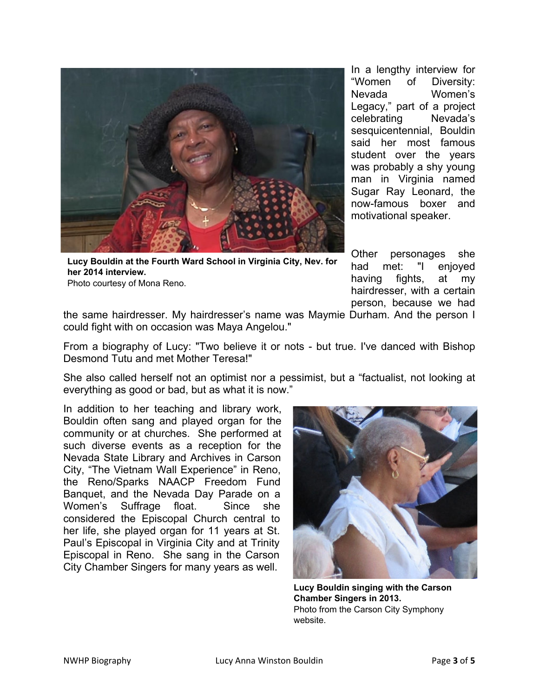

**Lucy Bouldin at the Fourth Ward School in Virginia City, Nev. for her 2014 interview.** Photo courtesy of Mona Reno.

Other personages she had met: "I enjoyed having fights, at my hairdresser, with a certain person, because we had

motivational speaker.

In a lengthy interview for "Women of Diversity: Nevada Women's Legacy," part of a project celebrating Nevada's sesquicentennial, Bouldin said her most famous student over the years was probably a shy young man in Virginia named Sugar Ray Leonard, the now-famous boxer and

the same hairdresser. My hairdresser's name was Maymie Durham. And the person I could fight with on occasion was Maya Angelou."

From a biography of Lucy: "Two believe it or nots - but true. I've danced with Bishop Desmond Tutu and met Mother Teresa!"

She also called herself not an optimist nor a pessimist, but a "factualist, not looking at everything as good or bad, but as what it is now."

In addition to her teaching and library work, Bouldin often sang and played organ for the community or at churches. She performed at such diverse events as a reception for the Nevada State Library and Archives in Carson City, "The Vietnam Wall Experience" in Reno, the Reno/Sparks NAACP Freedom Fund Banquet, and the Nevada Day Parade on a Women's Suffrage float. Since she considered the Episcopal Church central to her life, she played organ for 11 years at St. Paul's Episcopal in Virginia City and at Trinity Episcopal in Reno. She sang in the Carson City Chamber Singers for many years as well.



**Lucy Bouldin singing with the Carson Chamber Singers in 2013.** Photo from the Carson City Symphony website.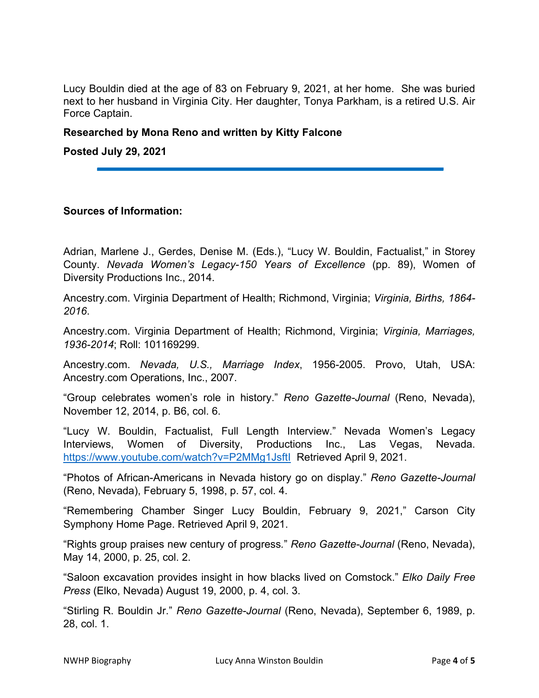Lucy Bouldin died at the age of 83 on February 9, 2021, at her home. She was buried next to her husband in Virginia City. Her daughter, Tonya Parkham, is a retired U.S. Air Force Captain.

#### **Researched by Mona Reno and written by Kitty Falcone**

**Posted July 29, 2021**

### **Sources of Information:**

Adrian, Marlene J., Gerdes, Denise M. (Eds.), "Lucy W. Bouldin, Factualist," in Storey County. *Nevada Women's Legacy-150 Years of Excellence* (pp. 89), Women of Diversity Productions Inc., 2014.

Ancestry.com. Virginia Department of Health; Richmond, Virginia; *Virginia, Births, 1864- 2016*.

Ancestry.com. Virginia Department of Health; Richmond, Virginia; *Virginia, Marriages, 1936-2014*; Roll: 101169299.

Ancestry.com. *Nevada, U.S., Marriage Index*, 1956-2005. Provo, Utah, USA: Ancestry.com Operations, Inc., 2007.

"Group celebrates women's role in history." *Reno Gazette-Journal* (Reno, Nevada), November 12, 2014, p. B6, col. 6.

"Lucy W. Bouldin, Factualist, Full Length Interview." Nevada Women's Legacy Interviews, Women of Diversity, Productions Inc., Las Vegas, Nevada. <https://www.youtube.com/watch?v=P2MMg1JsftI>Retrieved April 9, 2021.

"Photos of African-Americans in Nevada history go on display." *Reno Gazette-Journal*  (Reno, Nevada), February 5, 1998, p. 57, col. 4.

"Remembering Chamber Singer Lucy Bouldin, February 9, 2021," Carson City Symphony Home Page. Retrieved April 9, 2021.

"Rights group praises new century of progress*.*" *Reno Gazette-Journal* (Reno, Nevada), May 14, 2000, p. 25, col. 2.

"Saloon excavation provides insight in how blacks lived on Comstock." *Elko Daily Free Press* (Elko, Nevada) August 19, 2000, p. 4, col. 3.

"Stirling R. Bouldin Jr." *Reno Gazette-Journal* (Reno, Nevada), September 6, 1989, p. 28, col. 1.